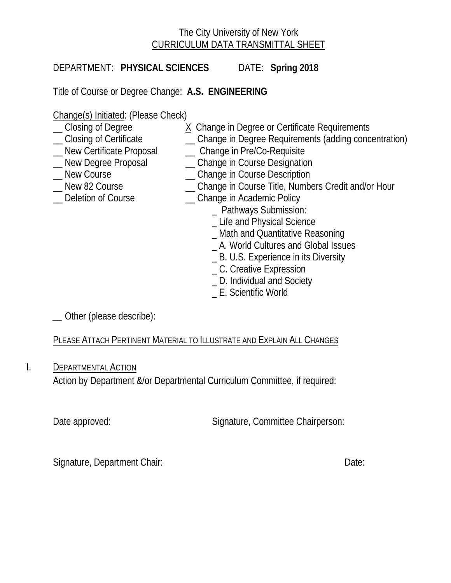# The City University of New York CURRICULUM DATA TRANSMITTAL SHEET

DEPARTMENT: **PHYSICAL SCIENCES** DATE: **Spring 2018**

Title of Course or Degree Change: **A.S. ENGINEERING**

Change(s) Initiated: (Please Check)<br>
Closing of Degree (2004)

- 
- \_\_ Closing of Certificate \_\_ Change in Degree Requirements (adding concentration)
- \_\_ New Certificate Proposal \_\_ Change in Pre/Co-Requisite
- -
- 
- Lew Degree Proposal Change in Course Designation<br>
New Course Change in Course Description \_ Change in Course Description
	- \_\_ New 82 Course \_\_ Change in Course Title, Numbers Credit and/or Hour

X Change in Degree or Certificate Requirements

- 
- Deletion of Course **Example 20** Change in Academic Policy
	- \_ Pathways Submission:
	- \_ Life and Physical Science
	- \_ Math and Quantitative Reasoning
	- \_ A. World Cultures and Global Issues
	- \_ B. U.S. Experience in its Diversity
	- \_ C. Creative Expression
	- \_ D. Individual and Society
	- \_ E. Scientific World

*\_\_* Other (please describe):

PLEASE ATTACH PERTINENT MATERIAL TO ILLUSTRATE AND EXPLAIN ALL CHANGES

I. DEPARTMENTAL ACTION

Action by Department &/or Departmental Curriculum Committee, if required:

Date approved: Signature, Committee Chairperson:

Signature, Department Chair: Date: Date: Date: Date: Date: Date: Date: Date: Date: Date: Date: Date: Date: Date: Date: Date: Date: Date: Date: Date: Date: Date: Date: Date: Date: Date: Date: Date: Date: Date: Date: Date: D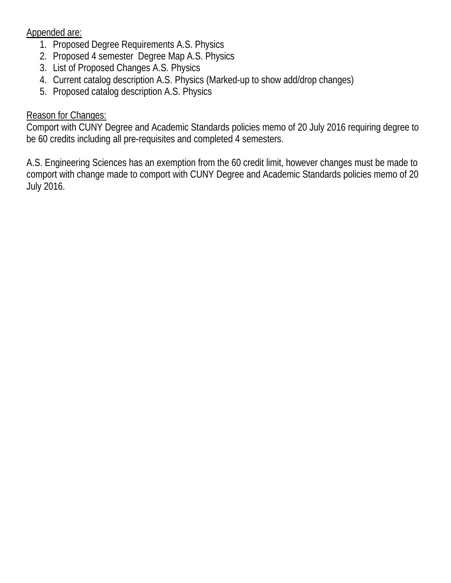Appended are:

- 1. Proposed Degree Requirements A.S. Physics
- 2. Proposed 4 semester Degree Map A.S. Physics
- 3. List of Proposed Changes A.S. Physics
- 4. Current catalog description A.S. Physics (Marked-up to show add/drop changes)
- 5. Proposed catalog description A.S. Physics

# Reason for Changes:

Comport with CUNY Degree and Academic Standards policies memo of 20 July 2016 requiring degree to be 60 credits including all pre-requisites and completed 4 semesters.

A.S. Engineering Sciences has an exemption from the 60 credit limit, however changes must be made to comport with change made to comport with CUNY Degree and Academic Standards policies memo of 20 July 2016.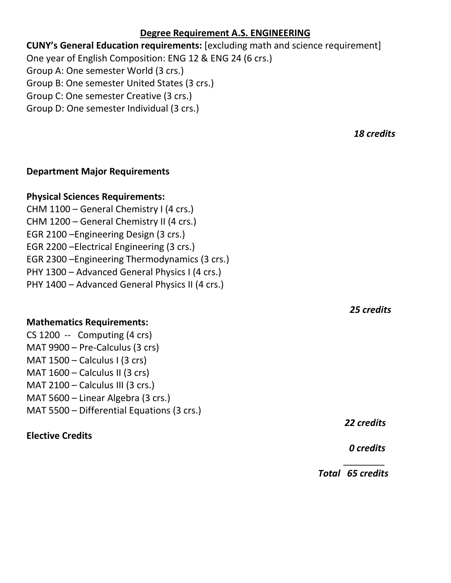## **Degree Requirement A.S. ENGINEERING**

**CUNY's General Education requirements:** [excluding math and science requirement] One year of English Composition: ENG 12 & ENG 24 (6 crs.) Group A: One semester World (3 crs.) Group B: One semester United States (3 crs.) Group C: One semester Creative (3 crs.) Group D: One semester Individual (3 crs.)

 $\overline{\phantom{a}}$  , and the contract of the contract of the contract of the contract of the contract of the contract of the contract of the contract of the contract of the contract of the contract of the contract of the contrac

## **Department Major Requirements**

# **Physical Sciences Requirements:**

CHM 1100 – General Chemistry I (4 crs.) CHM 1200 – General Chemistry II (4 crs.) EGR 2100 –Engineering Design (3 crs.) EGR 2200 –Electrical Engineering (3 crs.) EGR 2300 –Engineering Thermodynamics (3 crs.) PHY 1300 – Advanced General Physics I (4 crs.) PHY 1400 – Advanced General Physics II (4 crs.)

## **Mathematics Requirements:**

CS 1200 -- Computing (4 crs) MAT 9900 – Pre-Calculus (3 crs) MAT  $1500 -$  Calculus I (3 crs) MAT 1600 – Calculus II (3 crs) MAT 2100 – Calculus III (3 crs.) MAT 5600 – Linear Algebra (3 crs.) MAT 5500 – Differential Equations (3 crs.)

# **Elective Credits**

 *18 credits*

 *25 credits*

*22 credits*

 *0 credits*

*Total 65 credits*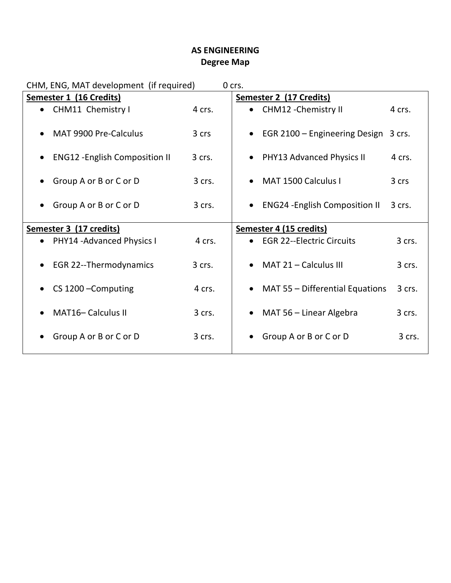# **AS ENGINEERING Degree Map**

| CHM, ENG, MAT development (if required)<br>0 crs. |                                       |        |  |                                                             |        |
|---------------------------------------------------|---------------------------------------|--------|--|-------------------------------------------------------------|--------|
| <b>Semester 1 (16 Credits)</b>                    |                                       |        |  | Semester 2 (17 Credits)                                     |        |
| $\bullet$                                         | CHM11 Chemistry I                     | 4 crs. |  | CHM12 - Chemistry II                                        | 4 crs. |
| $\bullet$                                         | MAT 9900 Pre-Calculus                 | 3 crs  |  | EGR 2100 – Engineering Design                               | 3 crs. |
| $\bullet$                                         | <b>ENG12 - English Composition II</b> | 3 crs. |  | • PHY13 Advanced Physics II                                 | 4 crs. |
|                                                   | Group A or B or C or D                | 3 crs. |  | MAT 1500 Calculus I                                         | 3 crs  |
| $\bullet$                                         | Group A or B or C or D                | 3 crs. |  | <b>ENG24 - English Composition II</b>                       | 3 crs. |
| Semester 3 (17 credits)                           |                                       |        |  |                                                             |        |
|                                                   |                                       |        |  |                                                             |        |
| $\bullet$                                         | PHY14 - Advanced Physics I            | 4 crs. |  | Semester 4 (15 credits)<br><b>EGR 22--Electric Circuits</b> | 3 crs. |
| $\bullet$                                         | <b>EGR 22--Thermodynamics</b>         | 3 crs. |  | MAT $21 -$ Calculus III                                     | 3 crs. |
| $\bullet$                                         | CS 1200 - Computing                   | 4 crs. |  | MAT 55 - Differential Equations                             | 3 crs. |
|                                                   | <b>MAT16-Calculus II</b>              | 3 crs. |  | MAT 56 – Linear Algebra                                     | 3 crs. |
|                                                   | Group A or B or C or D                | 3 crs. |  | Group A or B or C or D                                      | 3 crs. |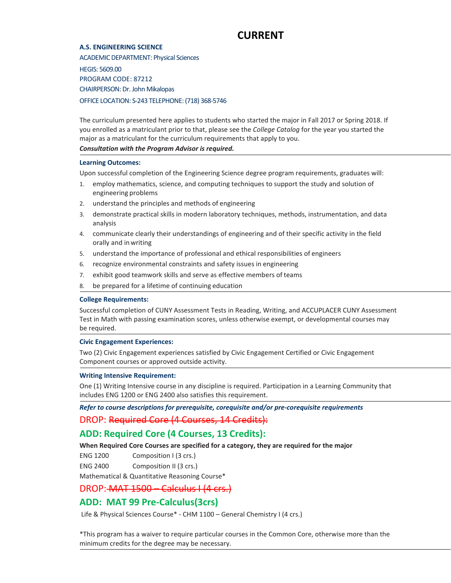# **CURRENT**

### **A.S. ENGINEERING SCIENCE**

ACADEMIC DEPARTMENT: Physical Sciences

HEGIS: 5609.00 PROGRAM CODE: 87212 CHAIRPERSON: Dr. John Mikalopas OFFICE LOCATION: S-243 TELEPHONE: (718) 368-5746

The curriculum presented here applies to students who started the major in Fall 2017 or Spring 2018. If you enrolled as a matriculant prior to that, please see the *College Catalog* for the year you started the major as a matriculant for the curriculum requirements that apply to you.

### *Consultation with the Program Advisor is required.*

### **Learning Outcomes:**

Upon successful completion of the Engineering Science degree program requirements, graduates will:

- 1. employ mathematics, science, and computing techniques to support the study and solution of engineering problems
- 2. understand the principles and methods of engineering
- 3. demonstrate practical skills in modern laboratory techniques, methods, instrumentation, and data analysis
- 4. communicate clearly their understandings of engineering and of their specific activity in the field orally and inwriting
- 5. understand the importance of professional and ethical responsibilities of engineers
- 6. recognize environmental constraints and safety issues in engineering
- 7. exhibit good teamwork skills and serve as effective members of teams
- 8. be prepared for a lifetime of continuing education

### **College Requirements:**

Successful completion of CUNY Assessment Tests in Reading, Writing, and ACCUPLACER CUNY Assessment Test in Math with passing examination scores, unless otherwise exempt, or developmental courses may be required.

### **Civic Engagement Experiences:**

Two (2) Civic Engagement experiences satisfied by Civic Engagement Certified or Civic Engagement Component courses or approved outside activity.

### **Writing Intensive Requirement:**

One (1) Writing Intensive course in any discipline is required. Participation in a Learning Community that includes ENG 1200 or ENG 2400 also satisfies this requirement.

## *Refer to course descriptions for prerequisite, corequisite and/or pre-corequisite requirements* DROP: Required Core (4 Courses, 14 Credits):

## **ADD: Required Core (4 Courses, 13 Credits):**

**When Required Core Courses are specified for a category, they are required for the major**

ENG 1200 Composition I (3 crs.)

ENG 2400 Composition II (3 crs.)

Mathematical & Quantitative Reasoning Course\*

### DROP: MAT 1500 – Calculus I (4 crs.)

## **ADD: MAT 99 Pre-Calculus(3crs)**

Life & Physical Sciences Course\* - CHM 1100 - General Chemistry I (4 crs.)

\*This program has a waiver to require particular courses in the Common Core, otherwise more than the minimum credits for the degree may be necessary.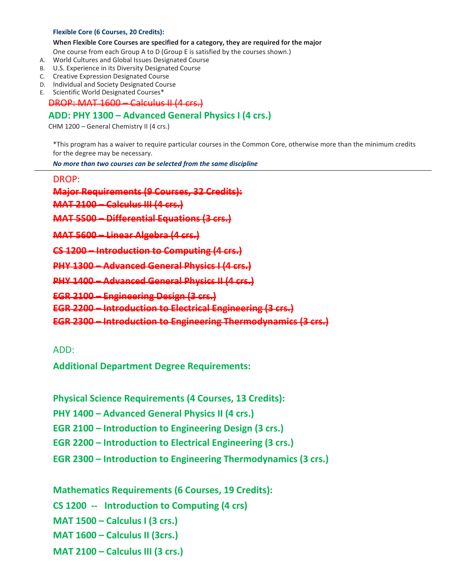### **Flexible Core (6 Courses, 20 Credits):**

**When Flexible Core Courses are specified for a category, they are required for the major** One course from each Group A to D (Group E is satisfied by the courses shown.)

- A. World Cultures and Global Issues Designated Course
- B. U.S. Experience in its Diversity Designated Course
- C. Creative Expression Designated Course
- D. Individual and Society Designated Course
- E. Scientific World Designated Courses\*

DROP: MAT 1600 – Calculus II (4 crs.)

## **ADD: PHY 1300 – Advanced General Physics I (4 crs.)**

CHM 1200 – General Chemistry II (4 crs.)

\*This program has a waiver to require particular courses in the Common Core, otherwise more than the minimum credits for the degree may be necessary.

*No more than two courses can be selected from the same discipline*

DROP:

**Major Requirements (9 Courses, 32 Credits):**

**MAT 2100 – Calculus III (4 crs.)**

**MAT 5500 – Differential Equations (3 crs.)** 

**MAT 5600 – Linear Algebra (4 crs.)**

**CS 1200 – Introduction to Computing (4 crs.)** 

**PHY 1300 – Advanced General Physics I (4 crs.)** 

**PHY 1400 – Advanced General Physics II (4 crs.)** 

**EGR 2100 – Engineering Design (3 crs.)**

**EGR 2200 – Introduction to Electrical Engineering (3 crs.)**

**EGR 2300 – Introduction to Engineering Thermodynamics (3 crs.)**

ADD:

**Additional Department Degree Requirements:** 

**Physical Science Requirements (4 Courses, 13 Credits):**

**PHY 1400 – Advanced General Physics II (4 crs.)** 

**EGR 2100 – Introduction to Engineering Design (3 crs.)**

**EGR 2200 – Introduction to Electrical Engineering (3 crs.)**

**EGR 2300 – Introduction to Engineering Thermodynamics (3 crs.)**

**Mathematics Requirements (6 Courses, 19 Credits):**

**CS 1200 -- Introduction to Computing (4 crs)**

**MAT 1500 – Calculus I (3 crs.)**

**MAT 1600 – Calculus II (3crs.)**

**MAT 2100 – Calculus III (3 crs.)**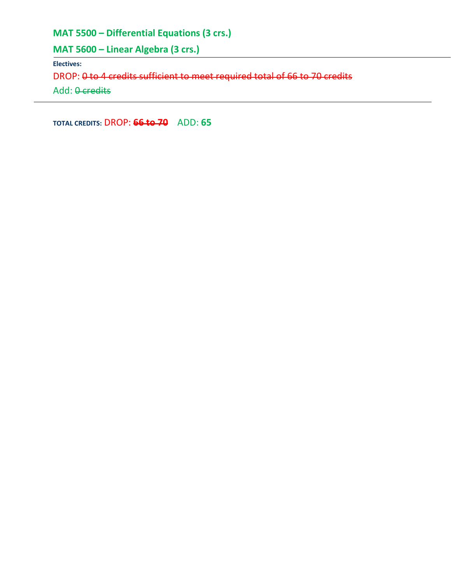**MAT 5500 – Differential Equations (3 crs.)** 

**MAT 5600 – Linear Algebra (3 crs.)** 

**Electives:**

DROP: 0 to 4 credits sufficient to meet required total of 66 to 70 credits

Add: 0 credits

**TOTAL CREDITS:** DROP: **66 to 70** ADD: **65**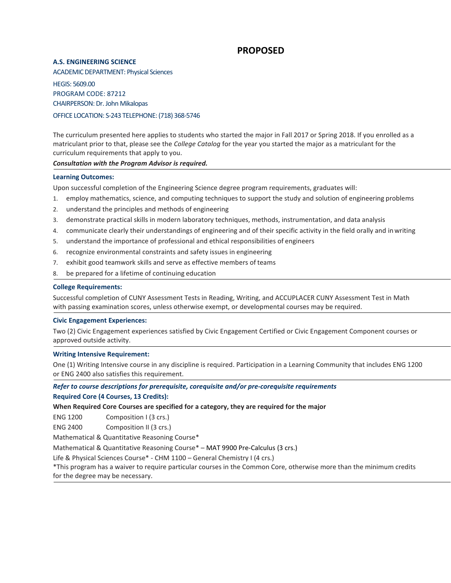## **PROPOSED**

### **A.S. ENGINEERING SCIENCE**

ACADEMIC DEPARTMENT: Physical Sciences

HEGIS: 5609.00 PROGRAM CODE: 87212 CHAIRPERSON: Dr. John Mikalopas

OFFICE LOCATION: S-243 TELEPHONE: (718) 368-5746

The curriculum presented here applies to students who started the major in Fall 2017 or Spring 2018. If you enrolled as a matriculant prior to that, please see the *College Catalog* for the year you started the major as a matriculant for the curriculum requirements that apply to you.

### *Consultation with the Program Advisor is required.*

### **Learning Outcomes:**

Upon successful completion of the Engineering Science degree program requirements, graduates will:

- 1. employ mathematics, science, and computing techniques to support the study and solution of engineering problems
- 2. understand the principles and methods of engineering
- 3. demonstrate practical skills in modern laboratory techniques, methods, instrumentation, and data analysis
- 4. communicate clearly their understandings of engineering and of their specific activity in the field orally and inwriting
- 5. understand the importance of professional and ethical responsibilities of engineers
- 6. recognize environmental constraints and safety issues in engineering
- 7. exhibit good teamwork skills and serve as effective members of teams
- 8. be prepared for a lifetime of continuing education

### **College Requirements:**

Successful completion of CUNY Assessment Tests in Reading, Writing, and ACCUPLACER CUNY Assessment Test in Math with passing examination scores, unless otherwise exempt, or developmental courses may be required.

### **Civic Engagement Experiences:**

Two (2) Civic Engagement experiences satisfied by Civic Engagement Certified or Civic Engagement Component courses or approved outside activity.

### **Writing Intensive Requirement:**

One (1) Writing Intensive course in any discipline is required. Participation in a Learning Community that includes ENG 1200 or ENG 2400 also satisfies this requirement.

### *Refer to course descriptions for prerequisite, corequisite and/or pre-corequisite requirements*

### **Required Core (4 Courses, 13 Credits):**

**When Required Core Courses are specified for a category, they are required for the major**

ENG 1200 Composition I (3 crs.)

ENG 2400 Composition II (3 crs.)

Mathematical & Quantitative Reasoning Course\*

Mathematical & Quantitative Reasoning Course\* – MAT 9900 Pre-Calculus (3 crs.)

Life & Physical Sciences Course\* - CHM 1100 – General Chemistry I (4 crs.)

\*This program has a waiver to require particular courses in the Common Core, otherwise more than the minimum credits for the degree may be necessary.